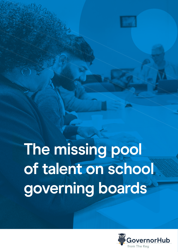# **The missing pool of talent on school governing boards**

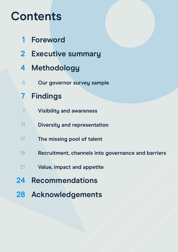## **Contents**

- **[Foreword](#page-2-0) [1](#page-2-0)**
- **[Executive summary](#page-3-0) [2](#page-3-0)**
- **[Methodology](#page-5-0) [4](#page-5-0)**
- **[Our governor survey sample](#page-6-0) [5](#page-6-0)**
- **[Findings](#page-8-0) [7](#page-8-0)**
- **[Visibility and awareness](#page-8-0) [7](#page-8-0)**
- **[Diversity and representation](#page-12-0) [11](#page-12-0)**
- **[The missing pool of talent](#page-18-0) [17](#page-18-0)**
- **[Recruitment, channels into governance and barriers](#page-20-0) [1](#page-20-0)9**
- **[Value, impact and appetite](#page-22-0) [21](#page-22-0)**
- **[Recommendations](#page-25-0) [2](#page-25-0)4**
- **[Acknowledgements](#page-29-0) [2](#page-29-0)8**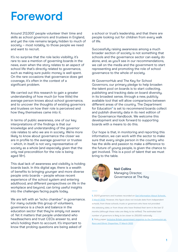## <span id="page-2-0"></span>**Foreword**

Around 212,000**1** people volunteer their time and skills as school governors and trustees in England, and yet the role remains largely hidden to much of society – most notably, to those people we need and want to recruit.

It's no surprise that the role lacks visibility; it's rare to see a mention of governing boards in the news, even when the story relates to an aspect of school life that's directly related to governance, such as making sure public money is well spent. On the rare occasions that governance does get coverage, it's often in the context of a significant problem.

We carried out this research to gain a greater understanding of how much (or how little) the average person knows about school governance, and to uncover the thoughts of existing governors and trustees on how their role is perceived and how they themselves came into it.

In terms of public awareness, one of our key interpretations of the findings is that our knowledge and understanding of the governor role relates to who we are in society. We're more likely to know about governance the closer we are in profile to the average governor or trustee – which, in itself, is not very representative of society as a whole (and especially given that the only real precondition for the role is being aged 18+).

This dual lack of awareness and visibility is holding boards back. In this digital age, there is a wealth of benefits to bringing younger and more diverse people onto boards – people whose recent experience of the school system and entering adulthood, and different perspectives on life in the workplace and beyond, can bring useful insights into the challenges facing pupils today.

We are left with an "echo chamber" in governance. For many outside this group of volunteers, governance is a check and balance in the education sector that they're simply not aware of. Yet it matters that people understand who headteachers and trust CEOs answer to, and who's holding them to account. It's important to know that probing questions are being asked of

a school or trust's leadership, and that there are people looking out for children from every walk of life.

Successfully raising awareness among a much broader section of society is not something that schools and the governance sector can easily do alone, and, as you'll see in our recommendations, we call on the media and the government to start representing and promoting the role of school governance to the whole of society.

At GovernorHub and The Key for School Governors, our primary pledge to help broaden the talent pool on boards is to start collecting, publishing and tracking data on board diversity, in its broadest sense, through a new, publicly available tool that will allow comparisons between different areas of the country. The Department for Education**²** is set to recommend boards collect and publish diversity data in its next edition of the Governance Handbook. We welcome this development and look forward to supporting boards with a means to do this.

Our hope is that, in monitoring and reporting this information, we can work with the sector to make sure that every single person in the country who has the skills and passion to make a difference to the future of young people, is given the chance to get involved. This is a pool of talent that we must bring to the table.



**Neil Collins** Managing Director, Governance at The Key

**1.** *212,113 governors and trustees recorded on* **[Get Information About Schools,](https://www.get-information-schools.service.gov.uk/Search?SelectedTab=Governors)  [3 March 2022](https://www.get-information-schools.service.gov.uk/Search?SelectedTab=Governors)***. However, this figure does not include data from independent schools, from those schools, trusts or governors who have not provided the statutory data, or from those who have finished their term in the last 12*  months (although these roles are likely to be refilled). The estimated total *number of governors is likely to be closer to 250,000 nationally.*  **2.** *Policy paper.* **[Inclusive Britain: government response to the Commission on](https://www.gov.uk/government/publications/inclusive-britain-action-plan-government-response-to-the-commission-on-race-and-ethnic-disparities/inclusive-britain-government-response-to-the-commission-on-race-and-ethnic-disparities)  [Race and Ethnic Disparities, 17 March 2022](https://www.gov.uk/government/publications/inclusive-britain-action-plan-government-response-to-the-commission-on-race-and-ethnic-disparities/inclusive-britain-government-response-to-the-commission-on-race-and-ethnic-disparities)**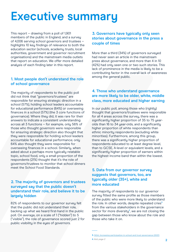## <span id="page-3-0"></span>**Executive summary**

This report – drawing from a poll of 1,901 members of the public in England, and a survey of 4,006 serving school governors and trustees – highlights 10 key findings of relevance to both the education sector (schools, academy trusts, local authorities, government and governor recruitment organisations) and the mainstream media outlets that report on education. We offer more detailed analysis of each finding later in this report.

#### **1. Most people don't understand the role of school governance**

The majority of respondents to the public poll did not think that "governors/trustees" are responsible for ensuring strategic direction in a school (57%), holding school leaders accountable for educational performance (64%) or overseeing finances in a school (57%) (the 3 core functions of governance). Where they did, it was rare for their answers to indicate a consistent understanding across all 3 functions – for example, only 56% of those who thought governors were responsible for ensuring strategic direction also thought that they were responsible for holding school leaders accountable for educational performance; only 64% also thought they were responsible for overseeing finances in a school. Similarly, when asked about a perhaps more typically relatable topic, school food, only a small proportion of the respondents (21%) thought that it's the role of governors/trustees to monitor that school dinners meet the School Food Standards.

#### **2. The majority of governors and trustees surveyed say that the public doesn't understand their role, and believe it to be largely hidden**

82% of respondents to our governor survey felt that the public did not understand their role, backing up what we heard first-hand in the public poll. On average, on a scale of 1 ("hidden") to 5 ("visible"), the role of governance scored just 2 for public visibility in the eyes of governors.

#### **3. Governors have typically only seen stories about governance in the press a couple of times**

More than a third (34%) of governors surveyed had never seen an article in the mainstream press about governance, and more than 4 in 10 (42%) had only seen one or two such stories. This lack of prominence in the media is likely to be a contributing factor in the overall lack of awareness among the general public.

#### **4. Those who understand governance are more likely to be older, white, middle class, more educated and higher earning**

In our public poll, among those who (rightly) thought that governors/trustees were responsible for all 4 areas across the survey, there was a significantly higher proportion of 35 to 75 yearolds than 16 to 34 year-olds, and a significantly higher proportion of white respondents than ethnic minority respondents (excluding white minorities). Furthermore, among this group, there was a significantly higher proportion of respondents educated to at least degree level, than to GCSE, A-level or equivalent levels, and a significantly higher proportion of earners within the highest income band than within the lowest.

#### **5. Data from our governor survey suggests that governors, too, are typically older (35+), white and more educated**

The majority of respondents to our governor survey fitted the same profile as those members of the public who were more likely to understand the role. In other words, despite repeated cries**3** from the various stakeholders in the governance sector for more diversity**4**, we are not closing the gap between those who know about the role and those who take it on.

**<sup>3.</sup> [NGA, Increasing participation in school and trust governance \(2021\)](https://www.nga.org.uk/Knowledge-Centre/research/Increasing-participation-in-school-and-trust-gover.aspx)**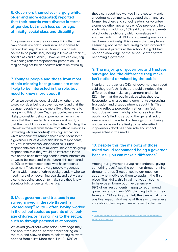**6. Governors themselves (largely white, older and more educated) reported that their boards were diverse in terms of gender, but much less so for age, ethnicity, social class and disability** 

Our governor survey respondents think that their own boards are pretty diverse when it comes to gender, but very little else. Diversity on boards seems to be particularly lacking in terms of ethnicity, social class and disability. However, we can only say this finding reflects respondents' perception – it may or may not be an accurate reflection of reality.

#### **7. Younger people and those from most ethnic minority backgrounds are more likely to be interested in the role, but need to know more about it**

When we asked the general public whether they would consider being a governor, we found that the younger people were, the more likely they were to be open to this. Under-35s, in particular, were more likely to consider being a governor, either on the basis that they needed to know more about it, or that they would consider it in the future. Similarly, the interest in the role from those from ethnic minorities (excluding white minorities)'**5** was higher than for white respondents. (Among those who hadn't been a governor, 51% of Asian/Asian British respondents, 46% of Black/African/Caribbean/Black British respondents and 40% of mixed/multiple ethnic group respondents said they would be interested in the role on the basis that they needed more information or would be interested in the future; this compared to 29% of white respondents who hadn't been a governor). These are the very people – younger, from a wider range of ethnic backgrounds – who we need more of on governing boards, and yet we are clearly not doing enough to make sure they know about, or fully understand, the role.

#### **8. Most governors and trustees in our survey arrived in the role through a "closed-shop" route – often, having worked in the school sector, as parents of schoolage children, or having links to the sector, such as through personal relationships**

We asked governors what prior knowledge they had about the school sector before taking on the role, and allowed them to select any relevant options from a list. More than 4 in 10 (43%) of

those surveyed had worked in the sector – and, anecdotally, comments suggested that many are former teachers and school leaders, or volunteer alongside other governors who've previously held such roles. In addition, 43% said they were parents of school-age children, which correlates with another finding that 39% were parent governors or had been previously. This reveals that people are seemingly not particularly likely to get involved if they are not parents at the school. Only 9% had no prior knowledge of the school sector before becoming a governor.

#### **9. The majority of governors and trustees surveyed feel the difference they make isn't noticed or valued by the public**

Nearly three-quarters (74%) of governors surveyed said they don't think that the public notices the difference they make as governors, and only 12% think that the public values what they do. Respondents shared many comments expressing frustration and disappointment about this. This finding reflects perception rather than fact, but it doesn't seem wildly off-course given the public poll's findings around the general lack of awareness of the role. And feelings of not being noticed or valued are likely to be intensified if governors don't see their role and impact represented in the media.

#### **10. Despite this, the majority of those asked would recommend being a governor because "you can make a difference"**

Among our governor survey respondents, "giving something back" was the common thread running through the top 3 responses to our question about what motivated them to apply in the first place. Thankfully, this initial motivation seems to have been borne out in experience, with 89% of our respondents happy to recommend governance to others, 92% planning to finish their term and 78% saying they felt they were making a positive impact. And many of those who were less sure about their impact were newer to the role.

**<sup>5.</sup> [The Ipsos public poll used the Government Statistical Service census](https://gss.civilservice.gov.uk/wp-content/uploads/2016/03/P3-Ethnic-Group-June-16-1.pdf)  [ethnic group question](https://gss.civilservice.gov.uk/wp-content/uploads/2016/03/P3-Ethnic-Group-June-16-1.pdf)**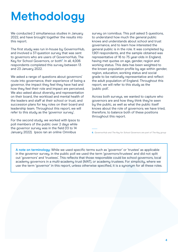## <span id="page-5-0"></span>**Methodology**

We conducted 2 simultaneous studies in January 2022, and have brought together the results into this report.

The first study was run in-house by GovernorHub, and involved a 37-question survey that was sent to governors who are users of GovernorHub, The Key for School Governors, or both<sup>6</sup>. In all, 4,006 respondents completed this survey between 13 and 23 January 2022.

We asked a range of questions about governors' route into governance, their experience of being a governor, the impact they feel they have had and how they feel their role and impact are perceived. We also asked about diversity and representation on their board, the workload and mental health of the leaders and staff at their school or trust, and succession plans for key roles on their board and leadership team. Throughout this report, we will refer to this study as the 'governor survey'.

For the second study, we worked with Ipsos to poll members of the public over 2 days while the governor survey was in the field (13 to 14 January 2022). Ipsos ran an online Omnibus

survey on i:omnibus. This poll asked 5 questions, to understand how much the general public knows and understands about school and trust governance, and to learn how interested the general public is in the role. It was completed by 1,901 respondents, and the sample obtained was representative of 16 to 75 year-olds in England, having met quotas on age, gender, region and working status. This data has been weighted to the known population profile by age within gender, region, education, working status and social grade to be nationally representative and reflect the adult population of England. Throughout this report, we will refer to this study as the 'public poll'.

Across both surveys, we wanted to capture who governors are and how they think they're seen by the public, as well as what the public itself knows about the role of governors; we have tried, therefore, to balance both of these positions throughout this report.

**6.** *GovernorHub and The Key for School Governors are part of The Key group*

**A note on terminology:** While we used specific terms such as 'governor' or 'trustee' as applicable in the governor survey, in the public poll we used the term 'governors/trustees' and did not split out 'governors' and 'trustees'. This reflects that those responsible could be school governors, local academy governors in a multi-academy trust (MAT), or academy trustees. For simplicity, where we use the term 'governor' in this report, unless otherwise specified, it is a synonym for all these roles.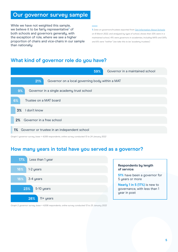## <span id="page-6-0"></span>**Our governor survey sample**

While we have not weighted this sample, we believe it to be fairly representative<sup>7</sup> of both schools and governors generally, with the exception of role, where we see a higher proportion of chairs and vice-chairs in our sample than nationally:

**7.** *Data on governors/trustees exported from* **[Get Information About Schools](https://www.get-information-schools.service.gov.uk/Downloads)** *on 8 March 2022, and analysed by type of school, shows that: 53% were in a maintained school, 41% were governors in academies, including MATs and SATs, and 6% were "neither" (we take this to be 'academy trustees')*

### **What kind of governor role do you have?**



*Graph 1: governor survey, base = 4,006 respondents, online survey conducted 13 to 24 January 2022*

### **How many years in total have you served as a governor?**



#### **Respondents by length of service:**

**51%** have been a governor for 5 years or more

**Nearly 1 in 5 (17%)** is new to governance, with less than 1 year in post

*Graph 2: governor survey, base = 4,006 respondents, online survey conducted 13 to 25 January 2022*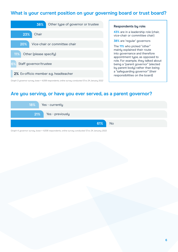## **What is your current position on your governing board or trust board?**

| 38%<br>Other type of governor or trustee |  |  |  |  |
|------------------------------------------|--|--|--|--|
| Chair<br>23%                             |  |  |  |  |
| 20%<br>Vice-chair or committee chair     |  |  |  |  |
| 11%<br>Other (please specify)            |  |  |  |  |
| Staff governor/trustee<br>6%             |  |  |  |  |
| 2% Ex-officio member e.g. headteacher    |  |  |  |  |

*Graph 3: governor survey, base = 4,006 respondents, online survey conducted 13 to 24 January 2022*

#### **Respondents by role:**

**43%** are in a leadership role (chair, vice-chair or committee chair)

#### **38%** are 'regular' governors

The **11%** who picked "other" mainly explained their route into governance and therefore appointment type, as opposed to role. For example, they talked about being a "parent governor" (elected by parent body) rather than being a "safeguarding governor" (their responsibilities on the board)

### **Are you serving, or have you ever served, as a parent governor?**



*Graph 4: governor survey, base = 4,006 respondents, online survey conducted 13 to 24 January 2022*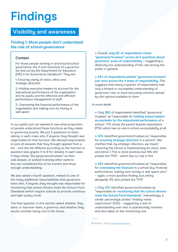## <span id="page-8-0"></span>**Findings**

## **Visibility and awareness**

**Finding 1: Most people don't understand the role of school governance** 

#### **Context**

For those people working in and around school governance, the 3 core functions of a governor are laid out by the Department for Education (DfE) in its Governance Handbook<sup>8</sup>. They are:

**1.** Ensuring clarity of vision, ethos and strategic direction

**2.** Holding executive leaders to account for the educational performance of the organisation and its pupils, and the effective and efficient performance management of staff

**3.** Overseeing the financial performance of the organisation and making sure its money is well spent

In our public poll, we wanted to see what proportion of people understood these functions as they relate to governing boards. We put 3 questions to them, asking, in each case, who, if anyone, they thought was responsible for that function. We allowed respondents to pick all answers that they thought applied from a list – and this list differed according to the function in question (see graphs 5 to 8 for details). In each case, if they chose "the governors/trustees" as their sole answer, or picked it among other options too, we considered this to be correct and show enough understanding.

We also asked a fourth question, related to one of the many additional responsibilities that governors have: who, if anyone, they thought was responsible for monitoring that school dinners meet the School Food Standards (which require schools to provide nutritious and high-quality food).

The final question in this section asked whether they were, or had ever been, a governor, and whether they would consider being one in the future.

Overall, **only 9% of respondents chose "governors/trustees" across all 4 questions about governors' areas of responsibility** – suggesting a distinctly low understanding of the role among the public in general

**24% of respondents picked "governors/trustees" just once across the 4 areas of responsibility.** This suggests that nearly a quarter of respondents had only a limited or incomplete understanding of governors' role, or were led (using common sense) by the options available to them

In more detail:

Only **36%** of respondents identified "governors/ trustees" as "responsible for **holding school leaders accountable for the educational performance** of a school". 17% chose the parent teacher association (PTA), which has no role in school accountability at all

**43%** identified governors/trustees as "responsible for **ensuring strategic direction** in a school". (We clarified that, by strategic direction, we meant "ensuring the school is implementing its vision, aims and ethos".) This is more positive, but 19% still picked the "PTA" - which has no role in this

**43%** identified governors/trustees as "responsible for **overseeing the finances** in a school (e.g. financial performance, making sure money is well spent, etc.)" – again, a more positive finding, but sitting alongside 11% who picked the "PTA"

**• Only 21% identified governors/trustees as** "responsible for **monitoring that the school dinners meet the School Food Standards**". Interestingly, a similar percentage picked "midday meals supervisors" (22%) – suggesting a lack of understanding over who is operationally involved and who takes on the monitoring role

**8.** *GOV.UK – DfE,* **[Governance handbook](https://www.gov.uk/government/publications/governance-handbook)**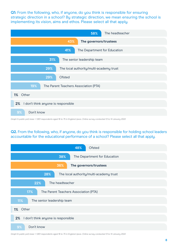**Q1:** From the following, who, if anyone, do you think is responsible for ensuring strategic direction in a school? By strategic direction, we mean ensuring the school is implementing its vision, aims and ethos. Please select all that apply.

| The headteacher<br>58%                         |  |  |  |  |  |
|------------------------------------------------|--|--|--|--|--|
| The governors/trustees<br>43%                  |  |  |  |  |  |
| The Department for Education<br>41%            |  |  |  |  |  |
| 31%<br>The senior leadership team              |  |  |  |  |  |
| 29%<br>The local authority/multi-academy trust |  |  |  |  |  |
| 29%<br>Ofsted                                  |  |  |  |  |  |
| 19%<br>The Parent Teachers Association (PTA)   |  |  |  |  |  |
| 1% Other                                       |  |  |  |  |  |
| I don't think anyone is responsible<br>2%      |  |  |  |  |  |
| 9%<br>Don't know                               |  |  |  |  |  |

*Graph 5: public poll, base = 1,901 respondents aged 16 to 75 in England. Ipsos. Online survey conducted 13 to 14 January 2022*

**Q2.** From the following, who, if anyone, do you think is responsible for holding school leaders accountable for the educational performance of a school? Please select all that apply.



*Graph 6: public poll, base = 1,901 respondents aged 16 to 75 in England. Ipsos. Online survey conducted 13 to 14 January 2022*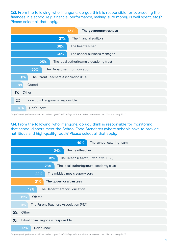**Q3.** From the following, who, if anyone, do you think is responsible for overseeing the finances in a school (e.g. financial performance, making sure money is well spent, etc.)? Please select all that apply.

| The governors/trustees<br>43%                  |  |  |  |  |
|------------------------------------------------|--|--|--|--|
| The financial auditors<br>37%                  |  |  |  |  |
| The headteacher<br>36%                         |  |  |  |  |
| 36%<br>The school business manager             |  |  |  |  |
| 25%<br>The local authority/multi-academy trust |  |  |  |  |
| 20%<br>The Department for Education            |  |  |  |  |
| 11%<br>The Parent Teachers Association (PTA)   |  |  |  |  |
| Ofsted<br>8%                                   |  |  |  |  |
| Other<br>1%                                    |  |  |  |  |
| I don't think anyone is responsible<br>2%      |  |  |  |  |
| Don't know<br>10%                              |  |  |  |  |

*Graph 7: public poll, base = 1,901 respondents aged 16 to 75 in England. Ipsos. Online survey conducted 13 to 14 January 2022*

**Q4.** From the following, who, if anyone, do you think is responsible for monitoring that school dinners meet the School Food Standards (where schools have to provide nutritious and high-quality food)? Please select all that apply.

|                                                | 49%<br>The school catering team              |  |  |  |  |
|------------------------------------------------|----------------------------------------------|--|--|--|--|
| The headteacher<br>34%                         |                                              |  |  |  |  |
| 30%<br>The Health & Safety Executive (HSE)     |                                              |  |  |  |  |
| 28%<br>The local authority/multi-academy trust |                                              |  |  |  |  |
| 22%<br>The midday meals supervisors            |                                              |  |  |  |  |
| The governors/trustees<br>21%                  |                                              |  |  |  |  |
| 17%<br>The Department for Education            |                                              |  |  |  |  |
|                                                | 12%<br>Ofsted                                |  |  |  |  |
|                                                | The Parent Teachers Association (PTA)<br>11% |  |  |  |  |
| 0%                                             | Other                                        |  |  |  |  |
| 0%                                             | I don't think anyone is responsible          |  |  |  |  |
|                                                | Don't know<br>13%                            |  |  |  |  |

*Graph 8: public poll, base = 1,901 respondents aged 16 to 75 in England. Ipsos. Online survey conducted 13 to 14 January 2022*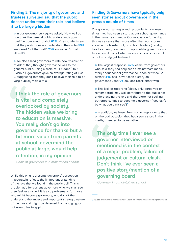#### **Finding 2: The majority of governors and trustees surveyed say that the public doesn't understand their role, and believe it to be largely hidden**

o In our governor survey, we asked, "How well do you think the general public understands your role?". A combined total of **82%** of respondents said that the public does not understand their role (**59%** answered "not that well"; **23%** answered "not at all well")

We also asked governors to rate how "visible" or "hidden" they thought governance was to the general public. Using a scale of 1 ("hidden") to 5 ("visible"), governors gave an average rating of just 2, suggesting that they don't believe their role to be very publicly visible at all

**I think the role of governors is vital and completely overlooked by society. The hidden value we bring to education is massive. You really don't go into governance for thanks but a bit more value from parents at school, nevermind the public at large, would help retention, in my opinion**

*Chair of governors in a maintained school*

While this only represents governors' perception, it accurately reflects the limited understanding of the role that we found in the public poll. This is problematic for current governors, who, we shall see, then feel less valued. It is also problematic for those who might become governors, who do not then understand the impact and important strategic nature of the role and might be deterred from applying, or not even think to apply.

#### **Finding 3: Governors have typically only seen stories about governance in the press a couple of times**

Our governor survey asked respondents how many times they had seen a story about school governance in the mainstream media. Our motivation for asking this was a sense that, more often than not, stories about schools refer only to school leaders (usually, headteachers), teachers or pupils; while governors – a fundamental part of what makes a school successful or not – rarely get featured.

The largest response, **42%**, came from governors who said they had only seen a mainstream media story about school governance "once or twice". A further **34%** had "never seen a story on governance", and **9%** couldn't recall either way

**o** This lack of reporting (albeit, only perceived or remembered) may well contribute to the public not understanding the role and therefore not seeking out opportunities to become a governor ("you can't be what you can't see")<sup>9</sup>

**o** In addition, we heard from some respondents that, on the odd occasion they had seen a story in the media, it tended to be negative

**The only time I ever see a governor interviewed or mentioned is in the context of a major problem, failure of judgement or cultural clash. Don't think I've ever seen a positive story/mention of a governing board**

*Governor in a maintained school*

**9.** *Quote attributed to Marian Wright Edelman, American children's rights activist*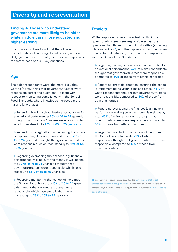## <span id="page-12-0"></span>**Diversity and representation**

#### **Finding 4: Those who understand governance are more likely to be older, white, middle cass, more educated and higher earning**

In our public poll, we found that the following characteristics all had a significant bearing on how likely you are to know what governors are responsible for across each of our 4 key questions:

#### **Age**

The older respondents were, the more likely they were to (rightly) think that governors/trustees were responsible across the questions – except with respect to monitoring compliance with the School Food Standards, where knowledge increased more marginally with age:

**o** Regarding holding school leaders accountable for educational performance: **25% of 16 to 24** year-olds thought that governors/trustees were responsible, which rose steadily to **43% of 65 to 75 year-olds**

**•** Regarding strategic direction (ensuring the school is implementing its vision, aims and ethos): **29% of 16 to 24** year-olds thought that governors/trustees were responsible, which rose steadily to **52% of 65 to 75** year-olds

**•** Regarding overseeing the finances (e.g. financial performance, making sure the money is well spent, etc.): **27% of 16 to 24** year-olds thought that governors/trustees were responsible, which rose steadily to **56% of 65 to 75** year-olds

**•** Regarding monitoring that school dinners meet the School Food Standards: **15% of 16 to 24** yearolds thought that governors/trustees were responsible, which rose steadily (but more marginally) to **28% of 65 to 75** year-olds

#### **Ethnicity**

White respondents were more likely to think that governors/trustees were responsible across the questions than those from ethnic minorities (excluding white minorities)<sup>10</sup>, with the gap less pronounced when it came to understanding who monitors compliance with the School Food Standards:

**•** Regarding holding school leaders accountable for educational performance: **37%** of white respondents thought that governors/trustees were responsible, compared to **30%** of those from ethnic minorities

**•** Regarding strategic direction (ensuring the school is implementing its vision, aims and ethos): **46%** of white respondents thought that governors/trustees were responsible, compared to **30%** of those from ethnic minorities

**•** Regarding overseeing the finances (e.g. financial performance, making sure the money is well spent, etc.): **45%** of white respondents thought that governors/trustees were responsible, compared to **33%** of those from ethnic minorities

**•** Regarding monitoring that school dinners meet the School Food Standards: **22%** of white respondents thought that governors/trustees were responsible, compared to **17%** of those from ethnic minorities

**10.** *Ipsos public poll questions are based on the* **[Government Statistical](https://gss.civilservice.gov.uk/wp-content/uploads/2016/03/P3-Ethnic-Group-June-16-1.pdf)  [Service census ethnic group question.](https://gss.civilservice.gov.uk/wp-content/uploads/2016/03/P3-Ethnic-Group-June-16-1.pdf)** *When writing about the ethnicity of our respondents, we have used the following government guidance:* **[GOV.UK, Writing](https://www.ethnicity-facts-figures.service.gov.uk/style-guide/writing-about-ethnicity)  [about ethnicity](https://www.ethnicity-facts-figures.service.gov.uk/style-guide/writing-about-ethnicity)**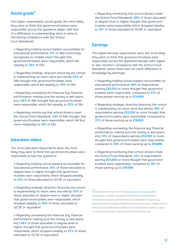#### **Social grade**<sup>11</sup>

The higher respondents' social grade, the more likely they were to think that governors/trustees were responsible across the questions (again, with less of a difference in understanding when it came to monitoring compliance with the School Food Standards):

**o** Regarding holding school leaders accountable for educational performance: **41%** of ABs (commonly recognised as "middle class") thought that governors/trustees were responsible, which fell steadily to **25%** of DEs

**•** Regarding strategic direction (ensuring the school is implementing its vision, aims and ethos): **50%** of ABs thought that governors/trustees were responsible, which fell steadily to **33%** of DEs

**•** Regarding overseeing the finances (e.g. financial performance, making sure the money is well spent, etc.): **48%** of ABs thought that governors/trustees were responsible, which fell steadily to **33%** of DEs

**•** Regarding monitoring that school dinners meet the School Food Standards: **24%** of ABs thought that governors/trustees were responsible, which fell (but more marginally) to **19%** of DEs

#### **Education status**

The more educated respondents were, the more likely they were to think that governors/trustees were responsible across the questions:

Regarding holding school leaders accountable for educational performance: **45%** of those educated to degree level or higher thought that governors/ trustees were responsible, which dropped steadily to **25%** of those educated to GCSE or equivalent

**•** Regarding strategic direction (ensuring the school is implementing its vision, aims and ethos): **50%** of those educated to degree level or higher thought that governors/trustees were responsible, which dropped steadily to **36%** of those educated to GCSE or equivalent

**o** Regarding overseeing the finances (e.g. financial performance, making sure the money is well spent, etc.): **48%** of those educated to degree level or higher thought that governors/trustees were responsible, which dropped steadily to **37%** of those educated to GCSE or equivalent

**•** Regarding monitoring that school dinners meet the School Food Standards: **26%** of those educated to degree level or higher thought that governors/ trustees were responsible, which dropped steadily to **15%** of those educated to GCSE or equivalent

#### **Earnings**

The higher-earning respondents were, the more likely they were to think that governors/trustees were responsible across the questions (except with regard to who monitors compliance with the School Food Standards, where there was not much difference in knowledge by earnings):

Regarding holding school leaders accountable for educational performance: **46%** of respondents earning **£55,000** or more thought that governors/ trustees were responsible, compared to **27%** of those people earning up to **£19,999**

**•** Regarding strategic direction (ensuring the school is implementing its vision, aims and ethos): **49%** of respondents earning **£55,000** or more thought that governors/trustees were responsible, compared to **37%** of those earning up to **£19,999**

**o** Regarding overseeing the finances (e.g. financial performance, making sure the money is well spent, etc.): **51%** of respondents earning **£55,000** or more thought that governors/trustees were responsible, compared to **36%** of those earning up to **£19,999**

**o** Regarding monitoring that school dinners meet the School Food Standards: **22%** of respondents earning **£55,000** or more thought that governors/ trustees were responsible, compared to **18%** of those earning up to **£19,999**

**11.** *Social grades are based on the* **[National Readership Survey \(NRS\)](https://www.nrs.co.uk/nrs-print/lifestyle-and-classification-data/social-grade/)  [classification:](https://www.nrs.co.uk/nrs-print/lifestyle-and-classification-data/social-grade/)** *AB (higher managerial, administrative and professional/ intermediate managerial, administrative and professional); C1 (supervisory, clerical and junior managerial, administrative and professional); C2 (skilled manual workers); DE (semi-skilled and unskilled manual workers/state pensioners, casual and lowest grade workers, unemployed with state benefits only)*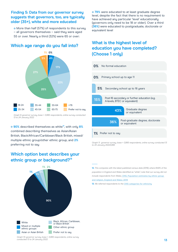#### **Finding 5: Data from our governor survey suggests that governors, too, are typically older (35+), white and more educated**

**•** More than half (57%) of respondents to this survey – all governors themselves – said they were aged 55 or over. Nearly a third (32%) were 65 or over:



**Which age range do you fall into?**

*Graph 9: governor survey, base = 3,995 respondents, online survey conducted 13 to 24 January 2022*

**0 90%** described themselves as white<sup>12</sup>, with only 8% combined describing themselves as Asian/Asian British, Black/African/Caribbean/Black British, mixed/ multiple ethnic group/other ethnic group, and **2%** preferring not to say

### **Which option best describes your**  ethnic group or background?<sup>13</sup>



*Graph 10: governor survey, base = 3,995 respondents, online survey conducted 13 to 24 January 2022*

 $0.79%$  were educated to at least graduate degree level, despite the fact that there is no requirement to have achieved any particular 'level' educationally (governors only need to be 18 or older). Over a third (**36%**) were educated to postgraduate, doctorate or equivalent level

### **What is the highest level of education you have completed? (Choose 1 only)**



*Graph 11: governor survey, base = 3,995 respondents, online survey conducted 13 to 24 January 20223,995*

**12.** *This compares with the latest published census data (2019), where 84.8% of the population in England and Wales identified as "white"; note that our survey did not include respondents from Wales.* **[ONS, Population estimates by ethnic group](https://www.ons.gov.uk/peoplepopulationandcommunity/populationandmigration/populationestimates/articles/populationestimatesbyethnicgroupandreligionenglandandwales/2019)  [and religion, England and Wales: 2019](https://www.ons.gov.uk/peoplepopulationandcommunity/populationandmigration/populationestimates/articles/populationestimatesbyethnicgroupandreligionenglandandwales/2019)**

**13.** *We referred respondents to the* **[ONS categories for ethnicity](https://www.ons.gov.uk/methodology/classificationsandstandards/measuringequality/ethnicgroupnationalidentityandreligion)**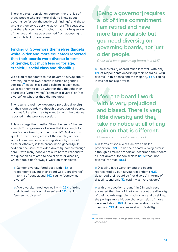There is a clear correlation between the profiles of those people who are more likely to know about governance (as per the public poll findings) and those who are themselves serving governors. This suggests that there is a section of society that isn't fully aware of the role and may be prevented from accessing it due to this lack of awareness.

#### **Finding 6: Governors themselves (largely white, older and more educated) reported that their boards were diverse in terms of gender, but much less so for age, ethnicity, social class and disability**

We asked respondents to our governor survey about diversity on their own boards in terms of gender, age, race<sup>14</sup>, social class and disability. In each case, we asked them to tell us whether they thought their board was "very diverse", "somewhat diverse" or "not diverse", or whether they did not know.

The results reveal how governors perceive diversity on their own boards – although perception, of course, may not fully reflect reality – and jar with the data we reported in the previous section.

This also begs the question 'How diverse is "diverse enough"?'. Do governors believe that it's enough to have 'some' diversity on their boards? Or does this speak to there being areas of the countru or local school communities where, say, diversity in social class or ethnicity is less pronounced generally? In addition, the issue of 'hidden diversity' comes through here – with many people not sure how to respond to the question as related to social class or disability, which people don't always "wear on their sleeve".

Gender diversity fared best, with **48%** of respondents saying their board was "very diverse" in terms of gender, and **44%** saying "somewhat diverse"

Age diversity fared less well, with **23%** thinking their board was "very diverse" and **64%** saying "somewhat diverse"

**[Being a governor] requires a lot of time commitment. I am retired and have more time available but you need diversity on governing boards, not just older people.**

*Chair of a local governing board in a MAT*

**o** Racial diversity scored much less well, with only **11%** of respondents describing their board as "very diverse" in this sense and the majority, **55%**, saying it was not racially diverse

**I feel the board I work with is very prejudiced and biased. There is very little diversity and they take no notice at all of any opinion that is different.**

*Governor in a maintained school*

**o** In terms of social class, an even smaller proportion – **9%** – said their board is "very diverse", although a smaller proportion described their board as "not diverse" for social class (**28%**) than "not diverse" for race (**55%**)

**O** Disability fares worst among the boards represented by our survey respondents. **62%** described their board as "not diverse" in terms of disability, and only **3%** said it was "very diverse"

With this question, around 1 in 5 in each case answered that they did not know about the diversity of their boards regarding social class and disability, the perhaps more hidden characteristics of those we asked about. **18%** did not know about social class, and **21%** did not know about disability

**<sup>14.</sup>** *We used the term "race" in the governor survey; in the public poll we used "ethnicity"*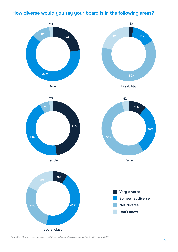## **How diverse would you say your board is in the following areas?**



*Graph 12 (A-E): governor survey, base = 4,006 respondents, online survey conducted 13 to 24 January 2022*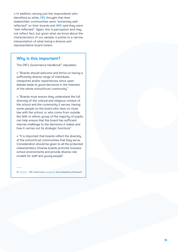o In addition, among just the respondents who identified as white, **13%** thought that their stakeholder communities were "extremely well reflected" on their boards and **44%** said they were "well reflected". Again, this is perception and may not reflect fact, but given what we know about the characteristics of our sample, it points to a narrow interpretation of what being a diverse and representative board means

#### **Why is this important?**

The DfE's Governance handbook<sup>15</sup> stipulates:

**o** "Boards should welcome and thrive on having a sufficiently diverse range of individuals, viewpoints and/or experiences, since open debate leads to good decisions in the interests of the whole school/trust community"

**.** "Boards must ensure they understand the full diversity of the cultural and religious context of the school and the community it serves. Having some people on the board who have no close ties with the school, or who come from outside the faith or ethnic group of the majority of pupils, can help ensure that the board has sufficient internal challenge to the decisions it makes and how it carries out its strategic functions"

**o** "It is important that boards reflect the diversitu of the school/trust communities that they serve. Consideration should be given to all the protected characteristics. Diverse boards promote inclusive school environments and provide diverse role models for staff and young people"

**15***.* **[GOV.UK](https://www.gov.uk/)** *– DfE, Governance* **[handbook](https://www.gov.uk/government/publications/governance-handbook)** *and competency framework*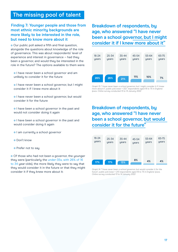## <span id="page-18-0"></span>**The missing pool of talent**

#### **Finding 7: Younger people and those from most ethnic minority backgrounds are more likely to be interested in the role, but need to know more about it**

**O** Our public poll asked a fifth and final question, alongside the questions about knowledge of the role of governance. This was about respondents' level of experience and interest in governance – had they been a governor, and would they be interested in the role in the future? The options available to them were:

**I** have never been a school governor and am unlikely to consider it for the future

o I have never been a school governor, but I might consider it if I knew more about it

**I** have never been a school governor, but would consider it for the future

o I have been a school governor in the past and would not consider doing it again

o I have been a school governor in the past and would consider doing it again

- **I** am currently a school governor
- **O** Don't know
- **•** Prefer not to say

Of those who had not been a governor, the younger they were (particularly the under-35s, with 26% of 16 to 34 year-olds), the more likely they were to say that they would consider it in the future or that they might consider it if they knew more about it:

**Breakdown of respondents, by age, who answered "I have never been a school governor, but I might consider it if I knew more about it"**



*Graph 13: "I have never been a school governor, but I might consider it if I knew more about it", public poll, base = 322 respondents aged 16 to 75 in England. Ipsos. Online survey conducted 13 to 14 January 2022*

## **Breakdown of respondents, by age, who answered "I have never been a school governor, but would consider it for the future"**



*Graph 14: "I have never been a school governor, but would consider it for the future", public poll, base = 213 respondents aged 16 to 75 in England. Ipsos. Online survey conducted 13 to 14 January 2022*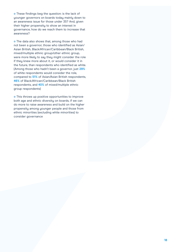**o** These findings beg the question: is the lack of younger governors on boards today mainly down to an awareness issue for those under 35? And, given their higher propensity to show an interest in governance, how do we reach them to increase that awareness?

**o** The data also shows that, among those who had not been a governor, those who identified as Asian/ Asian British, Black/African/Caribbean/Black British, mixed/multiple ethnic group/other ethnic group, were more likely to say they might consider the role if they knew more about it, or would consider it in the future, than respondents who identified as white. (Among those who hadn't been a governor, just **29%** of white respondents would consider the role, compared to **51%** of Asian/Asian British respondents, **46%** of Black/African/Caribbean/Black British respondents, and **40%** of mixed/multiple ethnic group respondents)

**o** This throws up positive opportunities to improve both age and ethnic diversity on boards, if we can do more to raise awareness and build on the higher propensity among younger people and those from ethnic minorities (excluding white minorities) to consider governance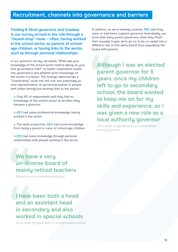## <span id="page-20-0"></span>**Recruitment, channels into governance and barriers**

**Finding 8: Most governors and trustees in our survey arrived in the role through a "closed-shop" route – often, having worked in the school sector, as parents of schoolage children, or having links to the sector, such as through personal relationships**

In our governor survey, we asked, "What was your knowledge of the school sector before taking on your first governance role?", to better understand routes into governance and whether prior knowledge of the sector is a factor. The findings demonstrate a "closed-shop" route into the role, and potentially an over-representation on governing boards of people with (often strong) pre-existing links to the sector:

Only **9%** of respondents said they had no knowledge of the school sector at all when they became a governor

 $\bullet$  **43%** had some professional knowledge, having worked in the sector

The same proportion, **43%**, had some knowledge from being a parent or carer of school-age children

**20%** had some knowledge through personal relationships with people working in the sector

**We have a very un-diverse board of mainly retired teachers**

*Governor in a maintained school*

## **I have been both a head and an assistant head in secondary and also worked in special schools**

*Vice-chair of governors in a maintained school*

In addition, as we've already covered, **39%** said they were, or had been, a parent governor. Anecdotally, we know that many parent governors, when they finish their (usually) 4-year term, go on to be co-opted into a different role on the same board, thus populating the board with parents.

**Although I was an elected parent governor for 5 years, once my children left to go to secondary school, the board wanted to keep me on for my skills and experience, so I was given a new role as a local authority governor**

*Vice-chair of governors in a maintained primary school*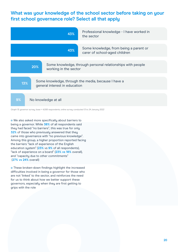## **What was your knowledge of the school sector before taking on your first school governance role? Select all that apply**



*Graph 15: governor survey, base = 4,006 respondents, online survey conducted 13 to 24 January 2022*

We also asked more specifically about barriers to being a governor. While **38%** of all respondents said they had faced "no barriers", this was true for only **32%** of those who previously answered that they came into governance with "no previous knowledge". Among this group, a higher proportion reported facing the barriers "lack of experience of the English education system" (**23%** vs **9%** of all respondents), "lack of experience on a board" (**23% vs 18%** overall), and "capacity due to other commitments" (**27% vs 24%** overall)

**•** These broken-down findings highlight the increased difficulties involved in being a governor for those who are not 'linked' to the sector, and reinforces the need for us to think about how we better support these governors, especially when they are first getting to grips with the role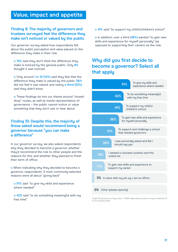## <span id="page-22-0"></span>**Value, impact and appetite**

#### **Finding 9: The majority of governors and trustees surveyed feel the difference they make isn't noticed or valued by the public**

Our governor surveu asked how respondents felt about the public perception and value placed on the difference they make in their role:

 $\circ$  **74%** said they don't think the difference they make is noticed by the general public. Only **8%** thought it was noticed

Only around **1 in 10 (12%)** said they feel that the difference they make is valued by the public. **56%** did not feel it was valued, and nearly **a third (32%)** said they didn't know

**o** These findings tie into our theme around "closedshop" routes, as well as media representation of governance – the public cannot notice or value something that they don't see or hear about

#### **Finding 10: Despite this, the majority of those asked would recommend being a governor because "you can make a difference"**

In our governor survey, we also asked respondents why they decided to become a governor, whether they'd recommend the role to other people and the reasons for this, and whether they planned to finish their term of office:

**•** When indicating why they decided to become a governor, respondents' 3 most commonly-selected reasons were all about "giving back"

**6 51%** said "to give my skills and experience where needed"

**42%** said "to do something meaningful with my free time"

**41%** said "to support my child's/children's school"

**o** In addition, over a third (36%) wanted "to gain new skills and experience for myself personally" (as opposed to supporting their career) via the role:

## **Why did you first decide to become a governor? Select all that apply**

| 51%                                                               |  | To give my skills and<br>experience where needed |  |  |
|-------------------------------------------------------------------|--|--------------------------------------------------|--|--|
| To do something meaningful<br>42%<br>with my free time            |  |                                                  |  |  |
| To support my child's/<br>41%<br>children's school                |  |                                                  |  |  |
| To gain new skills and experience<br>36%<br>for myself personally |  |                                                  |  |  |
| To support and challenge a school<br>31%<br>that needed governors |  |                                                  |  |  |
| I was personally asked and felt I<br>26%<br>should say yes        |  |                                                  |  |  |
| I wanted a volunteer position and this<br>18%<br>suited me        |  |                                                  |  |  |
| To gain new skills and experience to<br>17%<br>support my career  |  |                                                  |  |  |
| 3% It came with my job e.g. I am ex-officio                       |  |                                                  |  |  |
| <b>0%</b> Other (please specify)                                  |  |                                                  |  |  |

*Graph 16: governor survey, base = 4,006 respondents, online survey conducted 13 to 24 January 2022*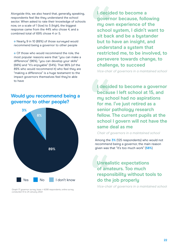Alongside this, we also heard that, generally speaking, respondents feel like they understand the school sector. When asked to rate their knowledge of schools now, on a scale of 1 (low) to 5 (high), the biggest response came from the 44% who chose 4, and a combined total of 69% chose 4 or 5.

Nearly 9 in 10 (89%) of those surveyed would recommend being a governor to other people

**O** Of those who would recommend the role, the most popular reasons were that "you can make a difference" (96%), "you can develop your skills" (68%) and "it's enjoyable" (54%). That 96% (of the 89% who would recommend it) who feel they are "making a difference" is a huge testament to the impact governors themselves feel they're able to have

## **Would you recommend being a governor to other people?**



*Graph 17: governor survey, base = 4,006 respondents, online survey conducted 13 to 24 January 2022*

**I decided to become a governor because, following my own experience of the school system, I didn't want to sit back and be a bystander but to have an insight, and understand a system that restricted me, to be involved, to persevere towards change, to challenge, to succeed**

*Vice-chair of governors in a maintained school*

**I decided to become a governor because I left school at 15, and my school had no aspirations for me. I've just retired as a senior pathology research fellow. The current pupils at the school I govern will not have the same deal as me**

#### *Chair of governors in a maintained school*

Among the **3%** (125 respondents) who would not recommend being a governor, the main reason given was that "it's too much work" (**58%**)

## **Unrealistic expectations of amateurs. Too much responsibility without tools to do the job properly**

*Vice-chair of governors in a maintained schoo*l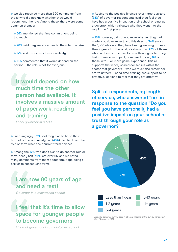We also received more than 300 comments from those who did not know whether they would recommend the role. Among these, there were some common themes:

**36%** mentioned the time commitment being too much

- **20%** said they were too new to the role to advise
- **0 17%** said it's too much responsibility

**16%** commented that it would depend on the person – the role is not for everyone

## **It would depend on how much time the other person had available. It involves a massive amount of paperwork, reading and training**

*Local governor in a MAT*

**•** Encouragingly, 92% said they plan to finish their term of office, and nearly half (**46%**) plan to do another role or term when their current term finishes

Among the **17%** who don't plan to do another role or term, nearly half (**46%**) are over 65, and we noted many comments from them about about age being a barrier to subsequent terms

## **I am now 80 years of age and need a rest!**

*Governor in a maintained school*

## **I feel that it's time to allow space for younger people to become governors**

*Chair of governors in a maintained school*

Adding to the positive findings, over three-quarters (**78%**) of governor respondents said they feel they have had a positive impact on their school or trust as a governor, which validates why they went into the role in the first place

**16%** however, did not not know whether they had made a positive impact, and this rises to **34%** among the 1,338 who said they have been governing for less than 2 years. Further analysis shows that **43%** of those who had been in the role for less than a year felt they had not made an impact, compared to only **6%** of those with 11 or more years' experience. This all supports the widely shared consensus within the sector that governors – who we must also remember are volunteers – need time, training and support to be effective, let alone to feel that they are effective

**Split of respondents, by length of service, who answered "no" in response to the question "Do you feel you have personally had a positive impact on your school or trust through your role as a governor?"**



*Graph 18: governor survey, base = 237 respondents, online survey conducted 13 to 24 January 2022*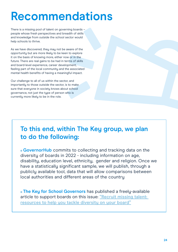## <span id="page-25-0"></span>**Recommendations**

There is a missing pool of talent on governing boards – people whose fresh perspectives and breadth of skills and knowledge from outside the school sector would help schools to thrive.

As we have discovered, they may not be aware of the opportunity but are more likely to be keen to explore it on the basis of knowing more, either now or in the future. There are real gains to be had in terms of skills and board-level experience, career development, feeling part of the local community and the associated mental health benefits of having a meaningful impact.

Our challenge to all of us within the sector, and importantly to those outside the sector, is to make sure that everyone in society knows about school governance, not just the type of person who is currently more likely to be in the role.

## **To this end, within The Key group, we plan to do the following:**

**GovernorHub** commits to collecting and tracking data on the diversity of boards in 2022 - including information on age, disability, education level, ethnicity, gender and religion. Once we have a statistically significant sample, we will publish, through a publicly available tool, data that will allow comparisons between local authorities and different areas of the country

**The Key for School Governors** has published a freely-available article to support boards on this issue: **["Recruit missing talent:](https://schoolgovernors.thekeysupport.com/the-governing-body/recruitment-and-competence/recruit-missing-talent-resources-help-you-tackle-diversity-your-board/)  [resources to help you tackle diversity on your board"](https://schoolgovernors.thekeysupport.com/the-governing-body/recruitment-and-competence/recruit-missing-talent-resources-help-you-tackle-diversity-your-board/)**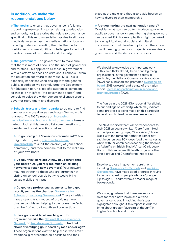#### **In addition, we make the recommendations below**

**The media:** to ensure that governance is fully and properly represented in stories relating to education and schools, not just stories that relate to governance specifically. This recommendation applies to all those in editorial roles across the media – national, local and trade. By under-representing the role, the media contributes to some significant challenges for school boards in terms of recruitment and diversity

**The government:** The government: to make sure that there is more of a focus on the input of governors and trustees. This applies to all those in government with a platform to speak or write about schools – from the education secretary to individual MPs. This is especially important when dealing with the general public. In addition, we strongly urge the Department for Education to run a specific awareness campaign, so that it is not left to "the governance sector" and schools to solve the wider societal challenges around governor recruitment and diversity.

**Schools, trusts and their boards:** to do more to find younger and more diverse candidates. We know this isn't easy. The NGA's report on **[increasing](https://www.nga.org.uk/getmedia/b869f048-016c-4195-a48e-15e6e91b6f40/Increasing-participation-in-school-and-trust-governance-(June-2021)-WEB-AW.pdf)  [participation in school and trust governance](https://www.nga.org.uk/getmedia/b869f048-016c-4195-a48e-15e6e91b6f40/Increasing-participation-in-school-and-trust-governance-(June-2021)-WEB-AW.pdf)** takes an in-depth look at this. We also list some questions to consider and possible actions below:

**Do you carry out "conscious recruitment"?** You might start by using **[this free tool from](https://blog.governorhub.com/2019/05/01/how-well-do-you-know-your-schools-local-community/)  [GovernorHub](https://blog.governorhub.com/2019/05/01/how-well-do-you-know-your-schools-local-community/)** to audit the diversity of your school community, and then compare that to the make-up of your own board

**Do you think hard about how you recruit onto your board? Do you rely too much on existing networks to reach new governors?** Your network may not stretch to those who are currently not sitting on school boards but who would bring valuable skills and input

**Do you use professional agencies to help you recruit, such as the charities [Governors for](https://governorsforschools.org.uk/)  [Schools](https://governorsforschools.org.uk/) or [Inspiring Governance](https://www.inspiringgovernance.org/)?** These charities have a strong track record of providing more diverse candidates, helping to overcome the "echo chamber" of word of mouth and connections

**Have you considered reaching out to organisations like the [National Black Governors](https://nbgn.co.uk/)  [Network](https://nbgn.co.uk/) or [Transforming Students](https://educationgovernancesolutions.com/transforming-students/) to find out about diversifying your board by race and/or age?** These organisations exist to help those who aren't traditionally represented on boards to find their

place at the table, and they also guide boards on how to diversify their membership

**• Are you making the next generation aware?** 

Consider what you can do to introduce your own pupils to governance – remembering that governors can be aged 18+. For example, this might be linked to your spiritual, moral, social and cultural curriculum, or could involve pupils from the school council meeting governors or special assemblies on governance and the democratic process

We should acknowledge the important work in this area that's already been done by many organisations in the governance sector. In particular, the National Governance Assocation (NGA) has published and promoted **[Everyone on](https://www.nga.org.uk/News/Campaigns/Everyone-on-Board-increasing-diversity-in-school-g.aspx)  [board](https://www.nga.org.uk/News/Campaigns/Everyone-on-Board-increasing-diversity-in-school-g.aspx)** (2018 onwards) and a state of the nation report, **[Increasing participation in school and](https://www.nga.org.uk/getmedia/b869f048-016c-4195-a48e-15e6e91b6f40/Increasing-participation-in-school-and-trust-governance-(June-2021)-WEB-AW.pdf)  [trust governance](https://www.nga.org.uk/getmedia/b869f048-016c-4195-a48e-15e6e91b6f40/Increasing-participation-in-school-and-trust-governance-(June-2021)-WEB-AW.pdf)** (2021).

The figures in the 2021 NGA report differ slightly to our findings on ethnicity, which may indicate some progress is being made on this particular issue although clearly nowhere near enough.

The NGA reported that 93% of respondents to their 2021 survey are white, 1% are from mixed or multiple ethnic groups, 3% are Asian, 1% are Black with the remainder other or 'rather not say'. In our survey, 90% described themselves as white, with 8% combined describing themselves as Asian/Asian British, Black/African/Caribbean/ Black British, mixed/multiple ethnic group/other ethnic group, and 2% preferring not to say.

Elsewhere, those in governor recruitment, including **[Governors for Schools](https://governorsforschools.org.uk/)** and **[Inspiring](https://www.inspiringgovernance.org/)  [Governance](https://www.inspiringgovernance.org/)**, have made good progress in trying to find and speak to people who are 'younger' (up to age 40) and/or from a broader range of backgrounds.

We strongly believe that there are important roles for those both inside and outside governance to play in tackling the issues highlighted throughout this report, in order to bring about greater "diversity of thought" in England's schools and trusts.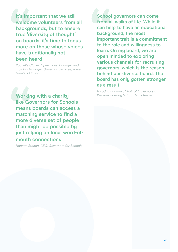**It's important that we still welcome volunteers from all backgrounds, but to ensure true 'diversity of thought' on boards, it's time to focus more on those whose voices have traditionally not been heard**

*Rochelle Clarke, Operations Manager and Training Manager, Governor Services, Tower Hamlets Council*

**Working with a charity like Governors for Schools means boards can access a matching service to find a more diverse set of people than might be possible by just relying on local word-ofmouth connections**

*Hannah Stolton, CEO, Governors for Schools*

**School governors can come from all walks of life. While it can help to have an educational background, the most important trait is a commitment to the role and willingness to learn. On my board, we are open minded to exploring various channels for recruiting governors, which is the reason behind our diverse board. The board has only gotten stronger as a result**

*Nisadha Bandara, Chair of Governors at Webster Primary School, Manchester*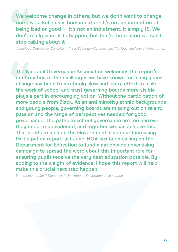**We welcome change in others, but we don't want to change ourselves. But this is human nature. It's not an indication of being bad or good – it's not an indictment. It simply IS. We don't really want it to happen, but that's the reason we can't stop talking about it**

*Oludolapo Ogunbawo, Consultant, Ascot Education Services and The Teaching Network Foundation*

**The National Governance Association welcomes the report's confirmation of the challenges we have known for many years; change has been frustratingly slow and every effort to make the work of school and trust governing boards more visible plays a part in encouraging action. Without the participation of more people from Black, Asian and minority ethnic backgrounds and young people, governing boards are missing out on talent, passion and the range of perspectives needed for good governance. The paths to school governance are too narrow: they need to be widened, and together we can achieve this. That needs to include the Government: since our Increasing Participation report last June, NGA has been calling on the Department for Education to fund a nationwide advertising campaign to spread the word about this important role for ensuring pupils receive the very best education possible. By adding to the weight of evidence, I hope this report will help make this crucial next step happen.**

*Emma Knights, Chief Executive of the National Governance Association*